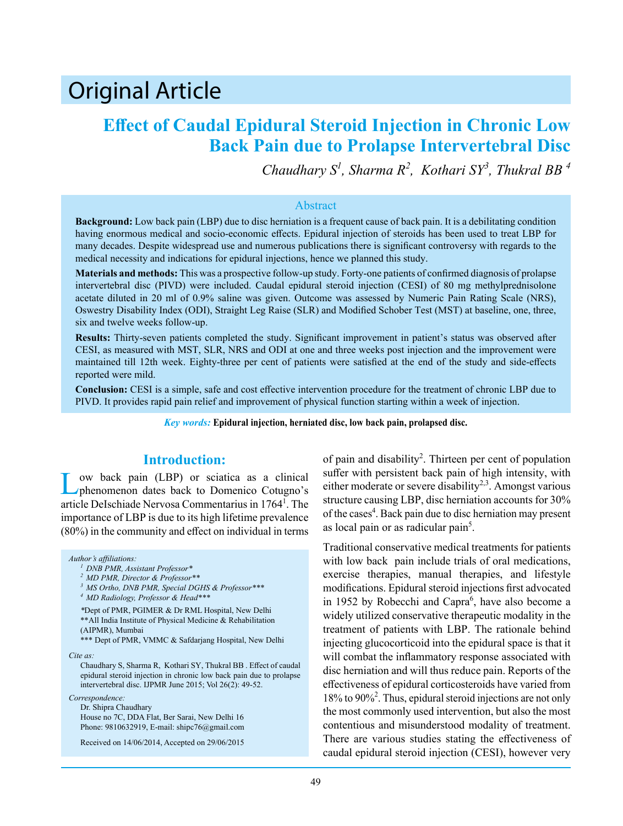# Original Article

# **Effect of Caudal Epidural Steroid Injection in Chronic Low Back Pain due to Prolapse Intervertebral Disc**

*Chaudhary S1 , Sharma R<sup>2</sup> , Kothari SY3 , Thukral BB 4*

#### Abstract

**Background:** Low back pain (LBP) due to disc herniation is a frequent cause of back pain. It is a debilitating condition having enormous medical and socio-economic effects. Epidural injection of steroids has been used to treat LBP for many decades. Despite widespread use and numerous publications there is significant controversy with regards to the medical necessity and indications for epidural injections, hence we planned this study.

**Materials and methods:** This was a prospective follow-up study. Forty-one patients of confirmed diagnosis of prolapse intervertebral disc (PIVD) were included. Caudal epidural steroid injection (CESI) of 80 mg methylprednisolone acetate diluted in 20 ml of 0.9% saline was given. Outcome was assessed by Numeric Pain Rating Scale (NRS), Oswestry Disability Index (ODI), Straight Leg Raise (SLR) and Modified Schober Test (MST) at baseline, one, three, six and twelve weeks follow-up.

**Results:** Thirty-seven patients completed the study. Significant improvement in patient's status was observed after CESI, as measured with MST, SLR, NRS and ODI at one and three weeks post injection and the improvement were maintained till 12th week. Eighty-three per cent of patients were satisfied at the end of the study and side-effects reported were mild.

**Conclusion:** CESI is a simple, safe and cost effective intervention procedure for the treatment of chronic LBP due to PIVD. It provides rapid pain relief and improvement of physical function starting within a week of injection.

*Key words:* **Epidural injection, herniated disc, low back pain, prolapsed disc.**

# **Introduction:**

Low back pain (LBP) or sciatica as a clinical phenomenon dates back to Domenico Cotugno's article DeIschiade Nervosa Commentarius in 1764<sup>1</sup>. The importance of LBP is due to its high lifetime prevalence (80%) in the community and effect on individual in terms

#### *Author's affiliations:*

*Cite as:*

Chaudhary S, Sharma R, Kothari SY, Thukral BB . Effect of caudal epidural steroid injection in chronic low back pain due to prolapse intervertebral disc. IJPMR June 2015; Vol 26(2): 49-52.

*Correspondence:*

Dr. Shipra Chaudhary House no 7C, DDA Flat, Ber Sarai, New Delhi 16 Phone: 9810632919, E-mail: shipc76@gmail.com

Received on 14/06/2014, Accepted on 29/06/2015

of pain and disability<sup>2</sup>. Thirteen per cent of population suffer with persistent back pain of high intensity, with either moderate or severe disability<sup>2,3</sup>. Amongst various structure causing LBP, disc herniation accounts for 30% of the cases<sup>4</sup>. Back pain due to disc herniation may present as local pain or as radicular pain<sup>5</sup>.

Traditional conservative medical treatments for patients with low back pain include trials of oral medications, exercise therapies, manual therapies, and lifestyle modifications. Epidural steroid injections first advocated in 1952 by Robecchi and Capra<sup>6</sup>, have also become a widely utilized conservative therapeutic modality in the treatment of patients with LBP. The rationale behind injecting glucocorticoid into the epidural space is that it will combat the inflammatory response associated with disc herniation and will thus reduce pain. Reports of the effectiveness of epidural corticosteroids have varied from 18% to 90%<sup>2</sup> . Thus, epidural steroid injections are not only the most commonly used intervention, but also the most contentious and misunderstood modality of treatment. There are various studies stating the effectiveness of caudal epidural steroid injection (CESI), however very

*<sup>1</sup> DNB PMR, Assistant Professor\**

*<sup>2</sup> MD PMR, Director & Professor\*\**

*<sup>3</sup> MS Ortho, DNB PMR, Special DGHS & Professor\*\*\**

*<sup>4</sup> MD Radiology, Professor & Head\*\*\**

*<sup>\*</sup>*Dept of PMR, PGIMER & Dr RML Hospital, New Delhi \*\*All India Institute of Physical Medicine & Rehabilitation (AIPMR), Mumbai

<sup>\*\*\*</sup> Dept of PMR, VMMC & Safdarjang Hospital, New Delhi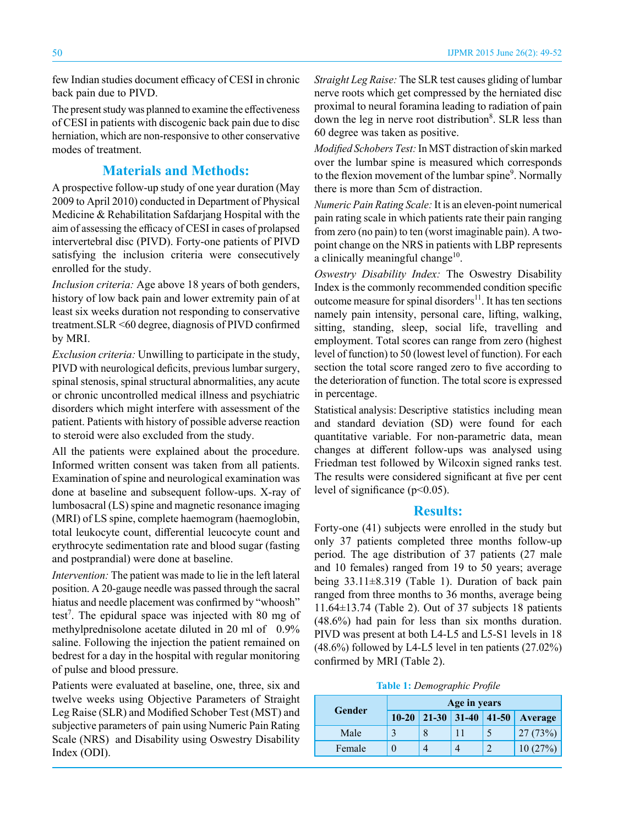few Indian studies document efficacy of CESI in chronic back pain due to PIVD.

The present study was planned to examine the effectiveness of CESI in patients with discogenic back pain due to disc herniation, which are non-responsive to other conservative modes of treatment.

## **Materials and Methods:**

A prospective follow-up study of one year duration (May 2009 to April 2010) conducted in Department of Physical Medicine & Rehabilitation Safdarjang Hospital with the aim of assessing the efficacy of CESI in cases of prolapsed intervertebral disc (PIVD). Forty-one patients of PIVD satisfying the inclusion criteria were consecutively enrolled for the study.

*Inclusion criteria:* Age above 18 years of both genders, history of low back pain and lower extremity pain of at least six weeks duration not responding to conservative treatment.SLR <60 degree, diagnosis of PIVD confirmed by MRI.

*Exclusion criteria:* Unwilling to participate in the study, PIVD with neurological deficits, previous lumbar surgery, spinal stenosis, spinal structural abnormalities, any acute or chronic uncontrolled medical illness and psychiatric disorders which might interfere with assessment of the patient. Patients with history of possible adverse reaction to steroid were also excluded from the study.

All the patients were explained about the procedure. Informed written consent was taken from all patients. Examination of spine and neurological examination was done at baseline and subsequent follow-ups. X-ray of lumbosacral (LS) spine and magnetic resonance imaging (MRI) of LS spine, complete haemogram (haemoglobin, total leukocyte count, differential leucocyte count and erythrocyte sedimentation rate and blood sugar (fasting and postprandial) were done at baseline.

*Intervention:* The patient was made to lie in the left lateral position. A 20-gauge needle was passed through the sacral hiatus and needle placement was confirmed by "whoosh" test<sup>7</sup>. The epidural space was injected with 80 mg of methylprednisolone acetate diluted in 20 ml of 0.9% saline. Following the injection the patient remained on bedrest for a day in the hospital with regular monitoring of pulse and blood pressure.

Patients were evaluated at baseline, one, three, six and twelve weeks using Objective Parameters of Straight Leg Raise (SLR) and Modified Schober Test (MST) and subjective parameters of pain using Numeric Pain Rating Scale (NRS) and Disability using Oswestry Disability Index (ODI).

*Straight Leg Raise:* The SLR test causes gliding of lumbar nerve roots which get compressed by the herniated disc proximal to neural foramina leading to radiation of pain down the leg in nerve root distribution<sup>8</sup>. SLR less than 60 degree was taken as positive.

*Modified Schobers Test:* In MST distraction of skin marked over the lumbar spine is measured which corresponds to the flexion movement of the lumbar spine<sup>9</sup>. Normally there is more than 5cm of distraction.

*Numeric Pain Rating Scale:* It is an eleven-point numerical pain rating scale in which patients rate their pain ranging from zero (no pain) to ten (worst imaginable pain). A twopoint change on the NRS in patients with LBP represents a clinically meaningful change $10$ .

*Oswestry Disability Index:* The Oswestry Disability Index is the commonly recommended condition specific outcome measure for spinal disorders<sup>11</sup>. It has ten sections namely pain intensity, personal care, lifting, walking, sitting, standing, sleep, social life, travelling and employment. Total scores can range from zero (highest level of function) to 50 (lowest level of function). For each section the total score ranged zero to five according to the deterioration of function. The total score is expressed in percentage.

Statistical analysis: Descriptive statistics including mean and standard deviation (SD) were found for each quantitative variable. For non-parametric data, mean changes at different follow-ups was analysed using Friedman test followed by Wilcoxin signed ranks test. The results were considered significant at five per cent level of significance (p<0.05).

#### **Results:**

Forty-one (41) subjects were enrolled in the study but only 37 patients completed three months follow-up period. The age distribution of 37 patients (27 male and 10 females) ranged from 19 to 50 years; average being 33.11±8.319 (Table 1). Duration of back pain ranged from three months to 36 months, average being 11.64±13.74 (Table 2). Out of 37 subjects 18 patients (48.6%) had pain for less than six months duration. PIVD was present at both L4-L5 and L5-S1 levels in 18 (48.6%) followed by L4-L5 level in ten patients (27.02%) confirmed by MRI (Table 2).

**Table 1:** *Demographic Profile*

| Gender | Age in years |  |  |  |                                   |  |
|--------|--------------|--|--|--|-----------------------------------|--|
|        |              |  |  |  | $10-20$ 21-30 31-40 41-50 Average |  |
| Male   |              |  |  |  | 27(73%)                           |  |
| Female |              |  |  |  | 10(27%)                           |  |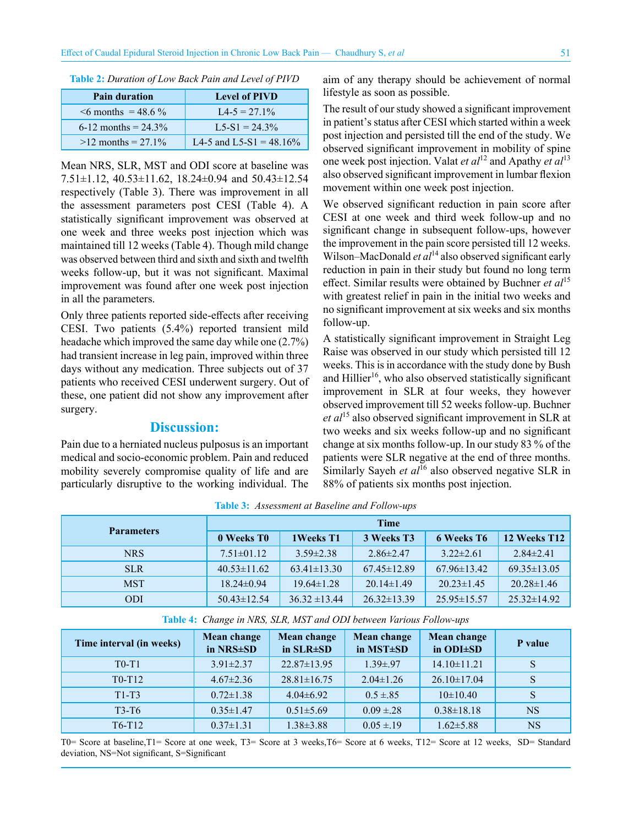| ٠       | P |
|---------|---|
| ł<br>٠. |   |

| <b>Table 2:</b> Duration of Low Back Pain and Level of PIVD |  |  |  |  |
|-------------------------------------------------------------|--|--|--|--|
|-------------------------------------------------------------|--|--|--|--|

| <b>Pain duration</b>     | <b>Level of PIVD</b>       |
|--------------------------|----------------------------|
| $\leq 6$ months = 48.6 % | $L4 - 5 = 27.1\%$          |
| 6-12 months = $24.3\%$   | $I.5-S1 = 24.3\%$          |
| $>12$ months = 27.1%     | L4-5 and L5-S1 = $48.16\%$ |

Mean NRS, SLR, MST and ODI score at baseline was 7.51±1.12, 40.53±11.62, 18.24±0.94 and 50.43±12.54 respectively (Table 3). There was improvement in all the assessment parameters post CESI (Table 4). A statistically significant improvement was observed at one week and three weeks post injection which was maintained till 12 weeks (Table 4). Though mild change was observed between third and sixth and sixth and twelfth weeks follow-up, but it was not significant. Maximal improvement was found after one week post injection in all the parameters.

Only three patients reported side-effects after receiving CESI. Two patients (5.4%) reported transient mild headache which improved the same day while one (2.7%) had transient increase in leg pain, improved within three days without any medication. Three subjects out of 37 patients who received CESI underwent surgery. Out of these, one patient did not show any improvement after surgery.

## **Discussion:**

Pain due to a herniated nucleus pulposus is an important medical and socio-economic problem. Pain and reduced mobility severely compromise quality of life and are particularly disruptive to the working individual. The aim of any therapy should be achievement of normal lifestyle as soon as possible.

The result of our study showed a significant improvement in patient's status after CESI which started within a week post injection and persisted till the end of the study. We observed significant improvement in mobility of spine one week post injection. Valat *et al*12 and Apathy *et al*<sup>13</sup> also observed significant improvement in lumbar flexion movement within one week post injection.

We observed significant reduction in pain score after CESI at one week and third week follow-up and no significant change in subsequent follow-ups, however the improvement in the pain score persisted till 12 weeks. Wilson–MacDonald *et al*<sup>14</sup> also observed significant early reduction in pain in their study but found no long term effect. Similar results were obtained by Buchner *et al*<sup>15</sup> with greatest relief in pain in the initial two weeks and no significant improvement at six weeks and six months follow-up.

A statistically significant improvement in Straight Leg Raise was observed in our study which persisted till 12 weeks. This is in accordance with the study done by Bush and Hillier<sup>16</sup>, who also observed statistically significant improvement in SLR at four weeks, they however observed improvement till 52 weeks follow-up. Buchner *et al*15 also observed significant improvement in SLR at two weeks and six weeks follow-up and no significant change at six months follow-up. In our study 83 % of the patients were SLR negative at the end of three months. Similarly Sayeh *et al*<sup>16</sup> also observed negative SLR in 88% of patients six months post injection.

| <b>Parameters</b> | <b>Time</b>            |                   |                   |                   |                   |  |
|-------------------|------------------------|-------------------|-------------------|-------------------|-------------------|--|
|                   | 0 Weeks T <sub>0</sub> | 1 Weeks T1        | 3 Weeks T3        | <b>6 Weeks T6</b> | 12 Weeks T12      |  |
| <b>NRS</b>        | $7.51 \pm 01.12$       | $3.59 \pm 2.38$   | $2.86 \pm 2.47$   | $3.22 \pm 2.61$   | $2.84\pm2.41$     |  |
| <b>SLR</b>        | $40.53 \pm 11.62$      | $63.41 \pm 13.30$ | $67.45 \pm 12.89$ | $67.96\pm13.42$   | $69.35 \pm 13.05$ |  |
| <b>MST</b>        | $18.24 \pm 0.94$       | $19.64\pm1.28$    | $20.14 \pm 1.49$  | $20.23 \pm 1.45$  | $20.28 \pm 1.46$  |  |
| <b>ODI</b>        | $50.43 \pm 12.54$      | $36.32 \pm 13.44$ | $26.32 \pm 13.39$ | $25.95 \pm 15.57$ | $25.32\pm14.92$   |  |

**Table 3:** *Assessment at Baseline and Follow-ups*

| Table 4: Change in NRS, SLR, MST and ODI between Various Follow-ups |  |  |  |  |  |
|---------------------------------------------------------------------|--|--|--|--|--|
|---------------------------------------------------------------------|--|--|--|--|--|

| Time interval (in weeks)        | Mean change<br>in NRS±SD | <b>Mean change</b><br>in $SLR \pm SD$ | Mean change<br>in MST±SD | Mean change<br>in ODI±SD | P value   |
|---------------------------------|--------------------------|---------------------------------------|--------------------------|--------------------------|-----------|
| $T0-T1$                         | $3.91 \pm 2.37$          | $22.87 \pm 13.95$                     | $1.39{\pm}.97$           | $14.10 \pm 11.21$        | S         |
| $T0-T12$                        | $4.67 \pm 2.36$          | $28.81 \pm 16.75$                     | $2.04 \pm 1.26$          | $26.10 \pm 17.04$        |           |
| $T1-T3$                         | $0.72 \pm 1.38$          | $4.04\pm6.92$                         | $0.5 \pm .85$            | $10\pm 10.40$            |           |
| $T3-T6$                         | $0.35 \pm 1.47$          | $0.51 \pm 5.69$                       | $0.09 \pm 0.28$          | $0.38 \pm 18.18$         | <b>NS</b> |
| T <sub>6</sub> -T <sub>12</sub> | $0.37 \pm 1.31$          | $1.38 \pm 3.88$                       | $0.05 \pm 19$            | $1.62 \pm 5.88$          | <b>NS</b> |

T0= Score at baseline,T1= Score at one week, T3= Score at 3 weeks,T6= Score at 6 weeks, T12= Score at 12 weeks, SD= Standard deviation, NS=Not significant, S=Significant